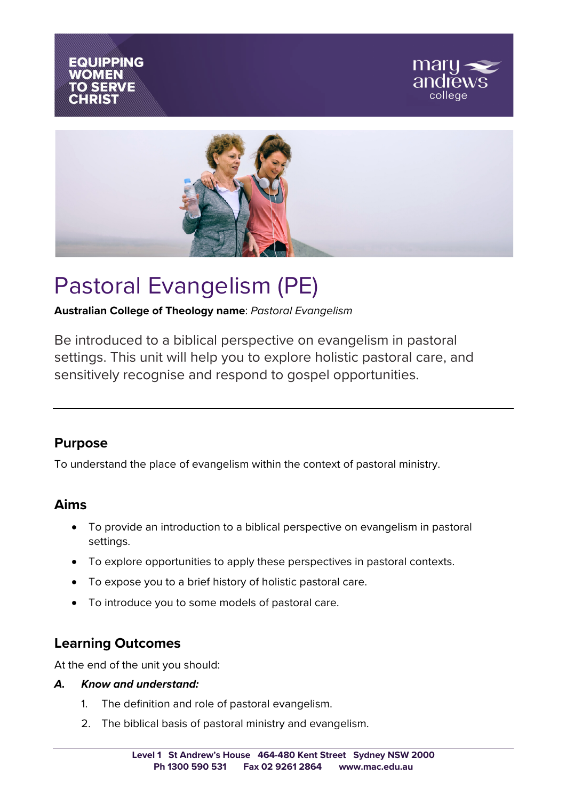





# Pastoral Evangelism (PE)

**Australian College of Theology name**: *Pastoral Evangelism*

Be introduced to a biblical perspective on evangelism in pastoral settings. This unit will help you to explore holistic pastoral care, and sensitively recognise and respond to gospel opportunities.

## **Purpose**

To understand the place of evangelism within the context of pastoral ministry.

### **Aims**

- To provide an introduction to a biblical perspective on evangelism in pastoral settings.
- To explore opportunities to apply these perspectives in pastoral contexts.
- To expose you to a brief history of holistic pastoral care.
- To introduce you to some models of pastoral care.

# **Learning Outcomes**

At the end of the unit you should:

#### *A. Know and understand:*

- 1. The definition and role of pastoral evangelism.
- 2. The biblical basis of pastoral ministry and evangelism.